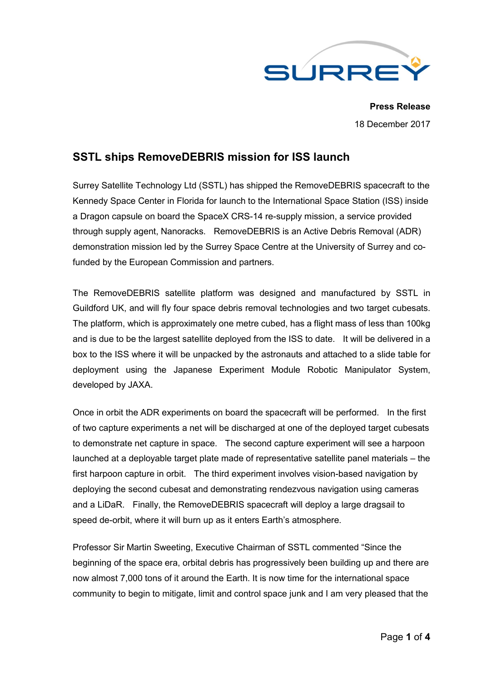

**Press Release** 18 December 2017

# **SSTL ships RemoveDEBRIS mission for ISS launch**

Surrey Satellite Technology Ltd (SSTL) has shipped the RemoveDEBRIS spacecraft to the Kennedy Space Center in Florida for launch to the International Space Station (ISS) inside a Dragon capsule on board the SpaceX CRS-14 re-supply mission, a service provided through supply agent, Nanoracks. RemoveDEBRIS is an Active Debris Removal (ADR) demonstration mission led by the Surrey Space Centre at the University of Surrey and cofunded by the European Commission and partners.

The RemoveDEBRIS satellite platform was designed and manufactured by SSTL in Guildford UK, and will fly four space debris removal technologies and two target cubesats. The platform, which is approximately one metre cubed, has a flight mass of less than 100kg and is due to be the largest satellite deployed from the ISS to date. It will be delivered in a box to the ISS where it will be unpacked by the astronauts and attached to a slide table for deployment using the Japanese Experiment Module Robotic Manipulator System, developed by JAXA.

Once in orbit the ADR experiments on board the spacecraft will be performed. In the first of two capture experiments a net will be discharged at one of the deployed target cubesats to demonstrate net capture in space. The second capture experiment will see a harpoon launched at a deployable target plate made of representative satellite panel materials – the first harpoon capture in orbit. The third experiment involves vision-based navigation by deploying the second cubesat and demonstrating rendezvous navigation using cameras and a LiDaR. Finally, the RemoveDEBRIS spacecraft will deploy a large dragsail to speed de-orbit, where it will burn up as it enters Earth's atmosphere.

Professor Sir Martin Sweeting, Executive Chairman of SSTL commented "Since the beginning of the space era, orbital debris has progressively been building up and there are now almost 7,000 tons of it around the Earth. It is now time for the international space community to begin to mitigate, limit and control space junk and I am very pleased that the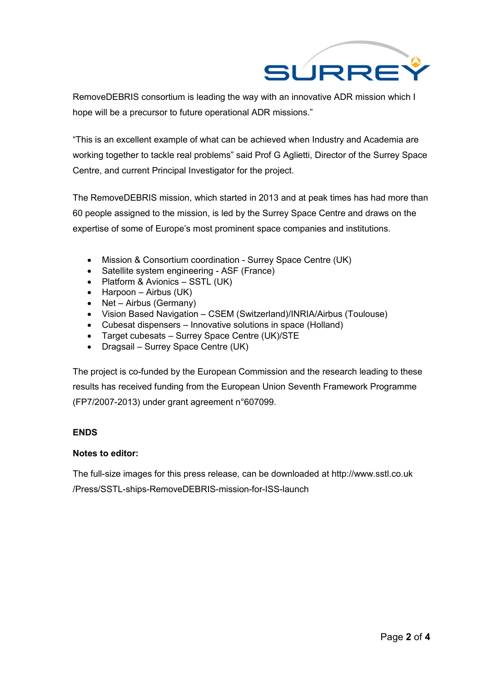

RemoveDEBRIS consortium is leading the way with an innovative ADR mission which I hope will be a precursor to future operational ADR missions."

"This is an excellent example of what can be achieved when Industry and Academia are working together to tackle real problems" said Prof G Aglietti, Director of the Surrey Space Centre, and current Principal Investigator for the project.

The RemoveDEBRIS mission, which started in 2013 and at peak times has had more than 60 people assigned to the mission, is led by the Surrey Space Centre and draws on the expertise of some of Europe's most prominent space companies and institutions.

- Mission & Consortium coordination Surrey Space Centre (UK)
- Satellite system engineering ASF (France)
- Platform & Avionics SSTL (UK)
- $\bullet$  Harpoon Airbus (UK)
- $\bullet$  Net Airbus (Germany)
- Vision Based Navigation CSEM (Switzerland)/INRIA/Airbus (Toulouse)
- Cubesat dispensers Innovative solutions in space (Holland)
- Target cubesats Surrey Space Centre (UK)/STE
- Dragsail Surrey Space Centre (UK)

The project is co-funded by the European Commission and the research leading to these results has received funding from the European Union Seventh Framework Programme (FP7/2007-2013) under grant agreement n°607099.

# **ENDS**

# **Notes to editor:**

The full-size images for this press release, can be downloaded at http://www.sstl.co.uk /Press/SSTL-ships-RemoveDEBRIS-mission-for-ISS-launch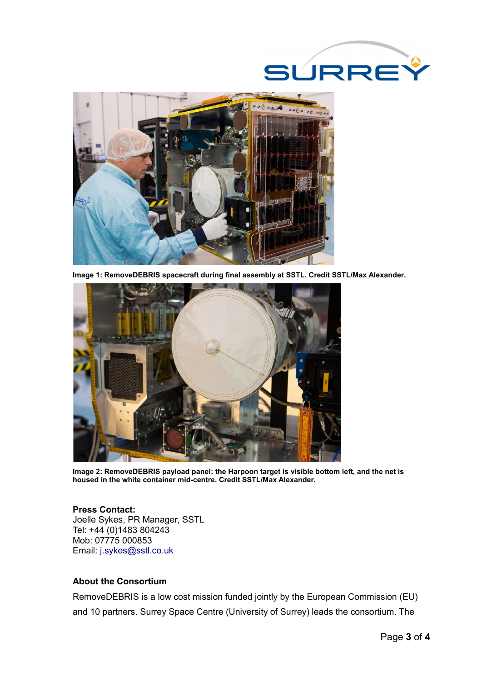



**Image 1: RemoveDEBRIS spacecraft during final assembly at SSTL. Credit SSTL/Max Alexander.**



**Image 2: RemoveDEBRIS payload panel: the Harpoon target is visible bottom left, and the net is housed in the white container mid-centre. Credit SSTL/Max Alexander.**

**Press Contact:** Joelle Sykes, PR Manager, SSTL Tel: +44 (0)1483 804243 Mob: 07775 000853 Email: j.sykes@sstl.co.uk

## **About the Consortium**

RemoveDEBRIS is a low cost mission funded jointly by the European Commission (EU) and 10 partners. Surrey Space Centre (University of Surrey) leads the consortium. The